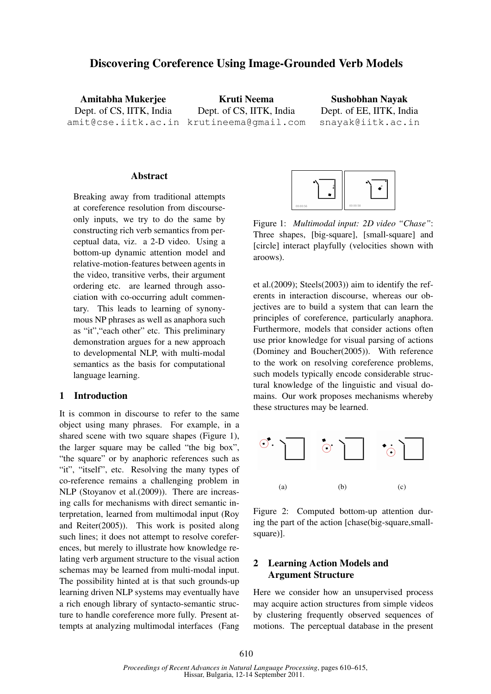# Discovering Coreference Using Image-Grounded Verb Models

Amitabha Mukerjee Dept. of CS, IITK, India

amit@cse.iitk.ac.in krutineema@gmail.com Kruti Neema Dept. of CS, IITK, India

Sushobhan Nayak Dept. of EE, IITK, India snayak@iitk.ac.in

#### Abstract

Breaking away from traditional attempts at coreference resolution from discourseonly inputs, we try to do the same by constructing rich verb semantics from perceptual data, viz. a 2-D video. Using a bottom-up dynamic attention model and relative-motion-features between agents in the video, transitive verbs, their argument ordering etc. are learned through association with co-occurring adult commentary. This leads to learning of synonymous NP phrases as well as anaphora such as "it","each other" etc. This preliminary demonstration argues for a new approach to developmental NLP, with multi-modal semantics as the basis for computational language learning.

### 1 Introduction

It is common in discourse to refer to the same object using many phrases. For example, in a shared scene with two square shapes (Figure 1), the larger square may be called "the big box", "the square" or by anaphoric references such as "it", "itself", etc. Resolving the many types of co-reference remains a challenging problem in NLP (Stoyanov et al.(2009)). There are increasing calls for mechanisms with direct semantic interpretation, learned from multimodal input (Roy and Reiter(2005)). This work is posited along such lines; it does not attempt to resolve coreferences, but merely to illustrate how knowledge relating verb argument structure to the visual action schemas may be learned from multi-modal input. The possibility hinted at is that such grounds-up learning driven NLP systems may eventually have a rich enough library of syntacto-semantic structure to handle coreference more fully. Present attempts at analyzing multimodal interfaces (Fang



Figure 1: *Multimodal input: 2D video "Chase"*: Three shapes, [big-square], [small-square] and [circle] interact playfully (velocities shown with aroows).

et al.(2009); Steels(2003)) aim to identify the referents in interaction discourse, whereas our objectives are to build a system that can learn the principles of coreference, particularly anaphora. Furthermore, models that consider actions often use prior knowledge for visual parsing of actions (Dominey and Boucher(2005)). With reference to the work on resolving coreference problems, such models typically encode considerable structural knowledge of the linguistic and visual domains. Our work proposes mechanisms whereby these structures may be learned.



Figure 2: Computed bottom-up attention during the part of the action [chase(big-square,smallsquare)].

## 2 Learning Action Models and Argument Structure

Here we consider how an unsupervised process may acquire action structures from simple videos by clustering frequently observed sequences of motions. The perceptual database in the present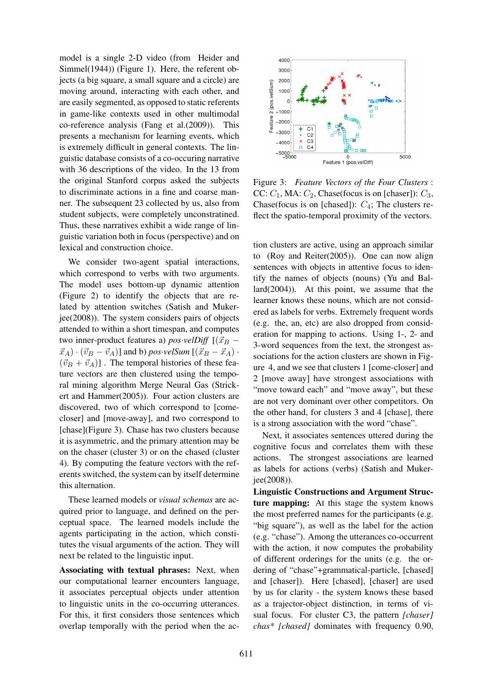model is a single 2-D video (from Heider and Simmel(1944)) (Figure 1). Here, the referent objects (a big square, a small square and a circle) are moving around, interacting with each other, and are easily segmented, as opposed to static referents in game-like contexts used in other multimodal co-reference analysis (Fang et al.(2009)). This presents a mechanism for learning events, which is extremely difficult in general contexts. The linguistic database consists of a co-occuring narrative with 36 descriptions of the video. In the 13 from the original Stanford corpus asked the subjects to discriminate actions in a fine and coarse manner. The subsequent 23 collected by us, also from student subjects, were completely unconstratined. Thus, these narratives exhibit a wide range of linguistic variation both in focus (perspective) and on lexical and construction choice.

We consider two-agent spatial interactions, which correspond to verbs with two arguments. The model uses bottom-up dynamic attention (Figure 2) to identify the objects that are related by attention switches (Satish and Mukerjee(2008)). The system considers pairs of objects attended to within a short timespan, and computes two inner-product features a)  $pos$ *·velDiff*  $[(\vec{x}_B \vec{x}_A$ ) ·  $(\vec{v}_B - \vec{v}_A)$ ] and b) *pos·velSum* [( $\vec{x}_B - \vec{x}_A$ ) ·  $(\vec{v}_B + \vec{v}_A)$ . The temporal histories of these feature vectors are then clustered using the temporal mining algorithm Merge Neural Gas (Strickert and Hammer(2005)). Four action clusters are discovered, two of which correspond to [comecloser] and [move-away], and two correspond to [chase](Figure 3). Chase has two clusters because it is asymmetric, and the primary attention may be on the chaser (cluster 3) or on the chased (cluster 4). By computing the feature vectors with the referents switched, the system can by itself determine this alternation.

These learned models or *visual schemas* are acquired prior to language, and defined on the perceptual space. The learned models include the agents participating in the action, which constitutes the visual arguments of the action. They will next be related to the linguistic input.

Associating with textual phrases: Next, when our computational learner encounters language, it associates perceptual objects under attention to linguistic units in the co-occurring utterances. For this, it first considers those sentences which overlap temporally with the period when the ac-



Figure 3: *Feature Vectors of the Four Clusters* : CC:  $C_1$ , MA:  $C_2$ , Chase(focus is on [chaser]):  $C_3$ , Chase(focus is on [chased]):  $C_4$ ; The clusters reflect the spatio-temporal proximity of the vectors.

tion clusters are active, using an approach similar to (Roy and Reiter(2005)). One can now align sentences with objects in attentive focus to identify the names of objects (nouns) (Yu and Ballard(2004)). At this point, we assume that the learner knows these nouns, which are not considered as labels for verbs. Extremely frequent words (e.g. the, an, etc) are also dropped from consideration for mapping to actions. Using 1-, 2- and 3-word sequences from the text, the strongest associations for the action clusters are shown in Figure 4, and we see that clusters 1 [come-closer] and 2 [move away] have strongest associations with "move toward each" and "move away", but these are not very dominant over other competitors. On the other hand, for clusters 3 and 4 [chase], there is a strong association with the word "chase".

Next, it associates sentences uttered during the cognitive focus and correlates them with these actions. The strongest associations are learned as labels for actions (verbs) (Satish and Mukerjee(2008)).

Linguistic Constructions and Argument Structure mapping: At this stage the system knows the most preferred names for the participants (e.g. "big square"), as well as the label for the action (e.g. "chase"). Among the utterances co-occurrent with the action, it now computes the probability of different orderings for the units (e.g. the ordering of "chase"+grammatical-particle, [chased] and [chaser]). Here [chased], [chaser] are used by us for clarity - the system knows these based as a trajector-object distinction, in terms of visual focus. For cluster C3, the pattern *[chaser] chas\* [chased]* dominates with frequency 0.90,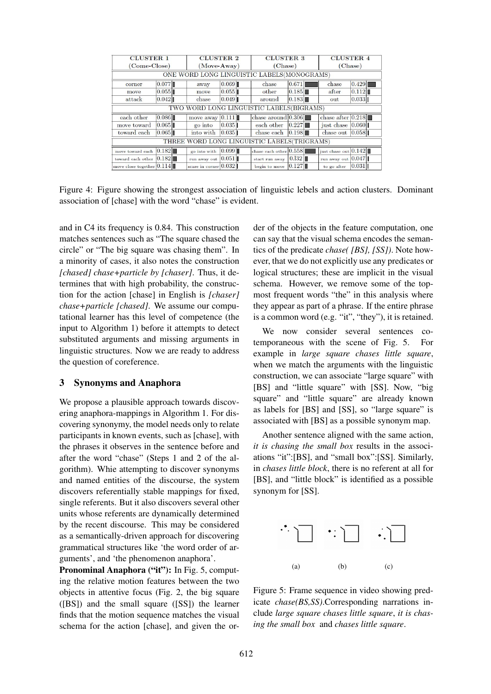| <b>CLUSTER 1</b>                            |       | <b>CLUSTER 2</b> |                         | <b>CLUSTER 3</b> |                          | <b>CLUSTER 4</b> |                        |       |
|---------------------------------------------|-------|------------------|-------------------------|------------------|--------------------------|------------------|------------------------|-------|
| (Come-Close)                                |       | $(Move-Awav)$    |                         |                  | (Chase)                  |                  | (Chase)                |       |
| ONE WORD LONG LINGUISTIC LABELS(MONOGRAMS)  |       |                  |                         |                  |                          |                  |                        |       |
| corner                                      | 0.077 |                  | away                    | 0.069            | chase                    | 0.671            | chase                  | 0.429 |
| move                                        | 0.055 |                  | move                    | 0.055            | other                    | 0.185            | after                  | 0.112 |
| attack                                      | 0.042 |                  | chase                   | 0.049            | around                   | 0.183            | out                    | 0.033 |
| TWO WORD LONG LINGUISTIC LABELS(BIGRAMS)    |       |                  |                         |                  |                          |                  |                        |       |
| each other                                  | 0.086 |                  | move away $0.111$       |                  | chase around $0.306$     |                  | chase after $0.218$    |       |
| move toward                                 | 0.065 |                  | go into                 | 0.035            | each other               | 0.227            | just chase             | 0.060 |
| toward each                                 | 0.065 |                  | into with               | 0.035            | chase each               | 0.198            | chase out              | 0.058 |
| THREE WORD LONG LINGUISTIC LABELS(TRIGRAMS) |       |                  |                         |                  |                          |                  |                        |       |
| move toward each                            | 0.182 |                  | go into with            | 0.099            | chase each other $0.558$ |                  | just chase out $0.142$ |       |
| toward each other                           | 0.182 |                  | run away out $0.051$    |                  | start run away           | 0.132            | run away out $0.047$   |       |
| move close together $0.114$                 |       |                  | scare in corner $0.032$ |                  | begin to move            | 0.127            | to go after            | 0.031 |

Figure 4: Figure showing the strongest association of linguistic lebels and action clusters. Dominant association of [chase] with the word "chase" is evident.

and in C4 its frequency is 0.84. This construction matches sentences such as "The square chased the circle" or "The big square was chasing them". In a minority of cases, it also notes the construction *[chased] chase+particle by [chaser]*. Thus, it determines that with high probability, the construction for the action [chase] in English is *[chaser] chase+particle [chased]*. We assume our computational learner has this level of competence (the input to Algorithm 1) before it attempts to detect substituted arguments and missing arguments in linguistic structures. Now we are ready to address the question of coreference.

#### 3 Synonyms and Anaphora

We propose a plausible approach towards discovering anaphora-mappings in Algorithm 1. For discovering synonymy, the model needs only to relate participants in known events, such as [chase], with the phrases it observes in the sentence before and after the word "chase" (Steps 1 and 2 of the algorithm). Whie attempting to discover synonyms and named entities of the discourse, the system discovers referentially stable mappings for fixed, single referents. But it also discovers several other units whose referents are dynamically determined by the recent discourse. This may be considered as a semantically-driven approach for discovering grammatical structures like 'the word order of arguments', and 'the phenomenon anaphora'.

Pronominal Anaphora ("it"): In Fig. 5, computing the relative motion features between the two objects in attentive focus (Fig. 2, the big square ([BS]) and the small square ([SS]) the learner finds that the motion sequence matches the visual schema for the action [chase], and given the order of the objects in the feature computation, one can say that the visual schema encodes the semantics of the predicate *chase( [BS], [SS])*. Note however, that we do not explicitly use any predicates or logical structures; these are implicit in the visual schema. However, we remove some of the topmost frequent words "the" in this analysis where they appear as part of a phrase. If the entire phrase is a common word (e.g. "it", "they"), it is retained.

We now consider several sentences cotemporaneous with the scene of Fig. 5. For example in *large square chases little square*, when we match the arguments with the linguistic construction, we can associate "large square" with [BS] and "little square" with [SS]. Now, "big square" and "little square" are already known as labels for [BS] and [SS], so "large square" is associated with [BS] as a possible synonym map.

Another sentence aligned with the same action, *it is chasing the small box* results in the associations "it":[BS], and "small box":[SS]. Similarly, in *chases little block*, there is no referent at all for [BS], and "little block" is identified as a possible synonym for [SS].



Figure 5: Frame sequence in video showing predicate *chase(BS,SS)*.Corresponding narrations include *large square chases little square*, *it is chasing the small box* and *chases little square*.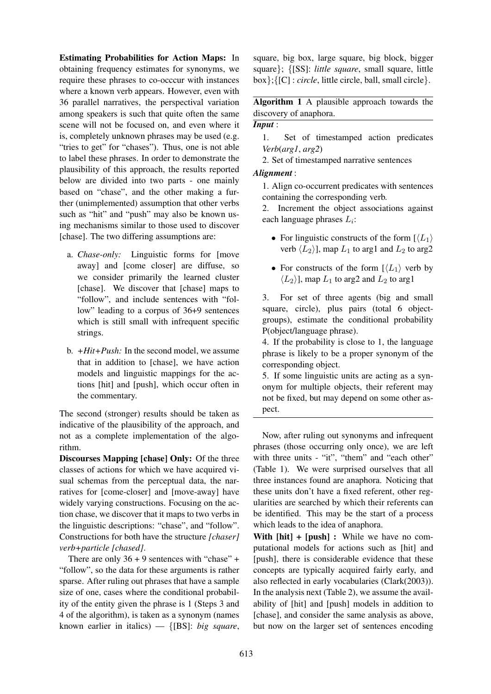Estimating Probabilities for Action Maps: In obtaining frequency estimates for synonyms, we require these phrases to co-occcur with instances where a known verb appears. However, even with 36 parallel narratives, the perspectival variation among speakers is such that quite often the same scene will not be focused on, and even where it is, completely unknown phrases may be used (e.g. "tries to get" for "chases"). Thus, one is not able to label these phrases. In order to demonstrate the plausibility of this approach, the results reported below are divided into two parts - one mainly based on "chase", and the other making a further (unimplemented) assumption that other verbs such as "hit" and "push" may also be known using mechanisms similar to those used to discover [chase]. The two differing assumptions are:

- a. *Chase-only:* Linguistic forms for [move away] and [come closer] are diffuse, so we consider primarily the learned cluster [chase]. We discover that [chase] maps to "follow", and include sentences with "follow" leading to a corpus of 36+9 sentences which is still small with infrequent specific strings.
- b. *+Hit+Push:* In the second model, we assume that in addition to [chase], we have action models and linguistic mappings for the actions [hit] and [push], which occur often in the commentary.

The second (stronger) results should be taken as indicative of the plausibility of the approach, and not as a complete implementation of the algorithm.

Discourses Mapping [chase] Only: Of the three classes of actions for which we have acquired visual schemas from the perceptual data, the narratives for [come-closer] and [move-away] have widely varying constructions. Focusing on the action chase, we discover that it maps to two verbs in the linguistic descriptions: "chase", and "follow". Constructions for both have the structure *[chaser] verb+particle [chased]*.

There are only  $36 + 9$  sentences with "chase" + "follow", so the data for these arguments is rather sparse. After ruling out phrases that have a sample size of one, cases where the conditional probability of the entity given the phrase is 1 (Steps 3 and 4 of the algorithm), is taken as a synonym (names known earlier in italics) — {[BS]: *big square*,

square, big box, large square, big block, bigger square}; {[SS]: *little square*, small square, little box};{[C] : *circle*, little circle, ball, small circle}.

Algorithm 1 A plausible approach towards the discovery of anaphora.

### *Input* :

1. Set of timestamped action predicates *Verb*(*arg1*, *arg2*)

2. Set of timestamped narrative sentences

### *Alignment* :

1. Align co-occurrent predicates with sentences containing the corresponding verb.

2. Increment the object associations against each language phrases  $L_i$ :

- For linguistic constructs of the form  $\lfloor \langle L_1 \rangle \rfloor$ verb  $\langle L_2 \rangle$ ], map  $L_1$  to arg1 and  $L_2$  to arg2
- For constructs of the form  $\lfloor \langle L_1 \rangle \rfloor$  verb by  $\langle L_2 \rangle$ ], map  $L_1$  to arg2 and  $L_2$  to arg1

3. For set of three agents (big and small square, circle), plus pairs (total 6 objectgroups), estimate the conditional probability P(object/language phrase).

4. If the probability is close to 1, the language phrase is likely to be a proper synonym of the corresponding object.

5. If some linguistic units are acting as a synonym for multiple objects, their referent may not be fixed, but may depend on some other aspect.

Now, after ruling out synonyms and infrequent phrases (those occurring only once), we are left with three units - "it", "them" and "each other" (Table 1). We were surprised ourselves that all three instances found are anaphora. Noticing that these units don't have a fixed referent, other regularities are searched by which their referents can be identified. This may be the start of a process which leads to the idea of anaphora.

With  $[hit] + [push]$ : While we have no computational models for actions such as [hit] and [push], there is considerable evidence that these concepts are typically acquired fairly early, and also reflected in early vocabularies (Clark(2003)). In the analysis next (Table 2), we assume the availability of [hit] and [push] models in addition to [chase], and consider the same analysis as above, but now on the larger set of sentences encoding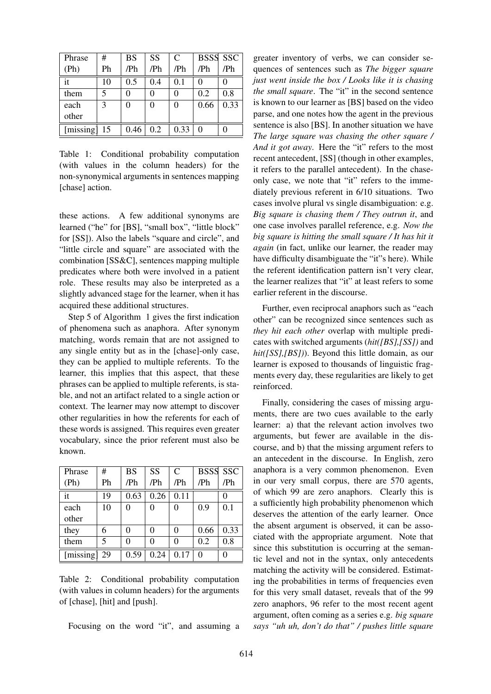| Phrase    | #  | <b>BS</b> | <b>SS</b> | $\mathsf{C}$ |      | <b>BSSS SSC</b> |
|-----------|----|-----------|-----------|--------------|------|-----------------|
| (Ph)      | Ph | /Ph       | /Ph       | /Ph          | /Ph  | /Ph             |
| it        | 10 | 0.5       | 0.4       | 0.1          | 0    |                 |
| them      | 5  |           |           |              | 0.2  | 0.8             |
| each      | 3  | 0         | 0         | 0            | 0.66 | 0.33            |
| other     |    |           |           |              |      |                 |
| [missing] | 15 | 0.46      | 0.2       | 0.33         | 0    |                 |

Table 1: Conditional probability computation (with values in the column headers) for the non-synonymical arguments in sentences mapping [chase] action.

these actions. A few additional synonyms are learned ("he" for [BS], "small box", "little block" for [SS]). Also the labels "square and circle", and "little circle and square" are associated with the combination [SS&C], sentences mapping multiple predicates where both were involved in a patient role. These results may also be interpreted as a slightly advanced stage for the learner, when it has acquired these additional structures.

Step 5 of Algorithm 1 gives the first indication of phenomena such as anaphora. After synonym matching, words remain that are not assigned to any single entity but as in the [chase]-only case, they can be applied to multiple referents. To the learner, this implies that this aspect, that these phrases can be applied to multiple referents, is stable, and not an artifact related to a single action or context. The learner may now attempt to discover other regularities in how the referents for each of these words is assigned. This requires even greater vocabulary, since the prior referent must also be known.

| Phrase    | #  | <b>BS</b> | <b>SS</b> | $\mathcal{C}$ | <b>BSSS SSC</b> |      |
|-----------|----|-----------|-----------|---------------|-----------------|------|
| (Ph)      | Ph | /Ph       | /Ph       | /Ph           | /Ph             | /Ph  |
| it        | 19 | 0.63      | 0.26      | 0.11          |                 | 0    |
| each      | 10 | 0         | $\Omega$  | 0             | 0.9             | 0.1  |
| other     |    |           |           |               |                 |      |
| they      | 6  | 0         | 0         | 0             | 0.66            | 0.33 |
| them      | 5  | 0         | 0         | 0             | 0.2             | 0.8  |
| [missing] | 29 | 0.59      | 0.24      | 0.17          | $\Omega$        |      |

Table 2: Conditional probability computation (with values in column headers) for the arguments of [chase], [hit] and [push].

Focusing on the word "it", and assuming a

greater inventory of verbs, we can consider sequences of sentences such as *The bigger square just went inside the box / Looks like it is chasing the small square*. The "it" in the second sentence is known to our learner as [BS] based on the video parse, and one notes how the agent in the previous sentence is also [BS]. In another situation we have *The large square was chasing the other square / And it got away*. Here the "it" refers to the most recent antecedent, [SS] (though in other examples, it refers to the parallel antecedent). In the chaseonly case, we note that "it" refers to the immediately previous referent in 6/10 situations. Two cases involve plural vs single disambiguation: e.g. *Big square is chasing them / They outrun it*, and one case involves parallel reference, e.g. *Now the big square is hitting the small square / It has hit it again* (in fact, unlike our learner, the reader may have difficulty disambiguate the "it"s here). While the referent identification pattern isn't very clear, the learner realizes that "it" at least refers to some earlier referent in the discourse.

Further, even reciprocal anaphors such as "each other" can be recognized since sentences such as *they hit each other* overlap with multiple predicates with switched arguments (*hit([BS],[SS])* and *hit([SS],[BS])*). Beyond this little domain, as our learner is exposed to thousands of linguistic fragments every day, these regularities are likely to get reinforced.

Finally, considering the cases of missing arguments, there are two cues available to the early learner: a) that the relevant action involves two arguments, but fewer are available in the discourse, and b) that the missing argument refers to an antecedent in the discourse. In English, zero anaphora is a very common phenomenon. Even in our very small corpus, there are 570 agents, of which 99 are zero anaphors. Clearly this is a sufficiently high probability phenomenon which deserves the attention of the early learner. Once the absent argument is observed, it can be associated with the appropriate argument. Note that since this substitution is occurring at the semantic level and not in the syntax, only antecedents matching the activity will be considered. Estimating the probabilities in terms of frequencies even for this very small dataset, reveals that of the 99 zero anaphors, 96 refer to the most recent agent argument, often coming as a series e.g. *big square says "uh uh, don't do that" / pushes little square*